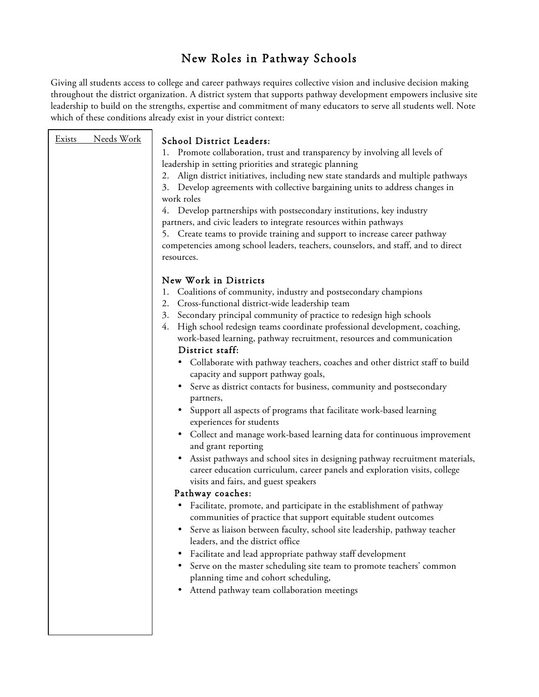# New Roles in Pathway Schools

Giving all students access to college and career pathways requires collective vision and inclusive decision making throughout the district organization. A district system that supports pathway development empowers inclusive site leadership to build on the strengths, expertise and commitment of many educators to serve all students well. Note which of these conditions already exist in your district context:

| Needs Work<br>Exists | School District Leaders:<br>Promote collaboration, trust and transparency by involving all levels of<br>1.<br>leadership in setting priorities and strategic planning<br>Align district initiatives, including new state standards and multiple pathways<br>2.<br>3. Develop agreements with collective bargaining units to address changes in<br>work roles<br>Develop partnerships with postsecondary institutions, key industry<br>4.<br>partners, and civic leaders to integrate resources within pathways<br>5. Create teams to provide training and support to increase career pathway<br>competencies among school leaders, teachers, counselors, and staff, and to direct<br>resources.                                                                                                                                                                                                                                                                                                                                                                                                                                                                                                                                                                                                                                                                                                                                                                                                                                                      |
|----------------------|------------------------------------------------------------------------------------------------------------------------------------------------------------------------------------------------------------------------------------------------------------------------------------------------------------------------------------------------------------------------------------------------------------------------------------------------------------------------------------------------------------------------------------------------------------------------------------------------------------------------------------------------------------------------------------------------------------------------------------------------------------------------------------------------------------------------------------------------------------------------------------------------------------------------------------------------------------------------------------------------------------------------------------------------------------------------------------------------------------------------------------------------------------------------------------------------------------------------------------------------------------------------------------------------------------------------------------------------------------------------------------------------------------------------------------------------------------------------------------------------------------------------------------------------------|
|                      | New Work in Districts<br>Coalitions of community, industry and postsecondary champions<br>1.<br>Cross-functional district-wide leadership team<br>2.<br>Secondary principal community of practice to redesign high schools<br>3.<br>High school redesign teams coordinate professional development, coaching,<br>4.<br>work-based learning, pathway recruitment, resources and communication<br>District staff:<br>• Collaborate with pathway teachers, coaches and other district staff to build<br>capacity and support pathway goals,<br>Serve as district contacts for business, community and postsecondary<br>partners,<br>• Support all aspects of programs that facilitate work-based learning<br>experiences for students<br>Collect and manage work-based learning data for continuous improvement<br>and grant reporting<br>Assist pathways and school sites in designing pathway recruitment materials,<br>career education curriculum, career panels and exploration visits, college<br>visits and fairs, and guest speakers<br>Pathway coaches:<br>Facilitate, promote, and participate in the establishment of pathway<br>communities of practice that support equitable student outcomes<br>Serve as liaison between faculty, school site leadership, pathway teacher<br>leaders, and the district office<br>Facilitate and lead appropriate pathway staff development<br>Serve on the master scheduling site team to promote teachers' common<br>planning time and cohort scheduling,<br>Attend pathway team collaboration meetings |